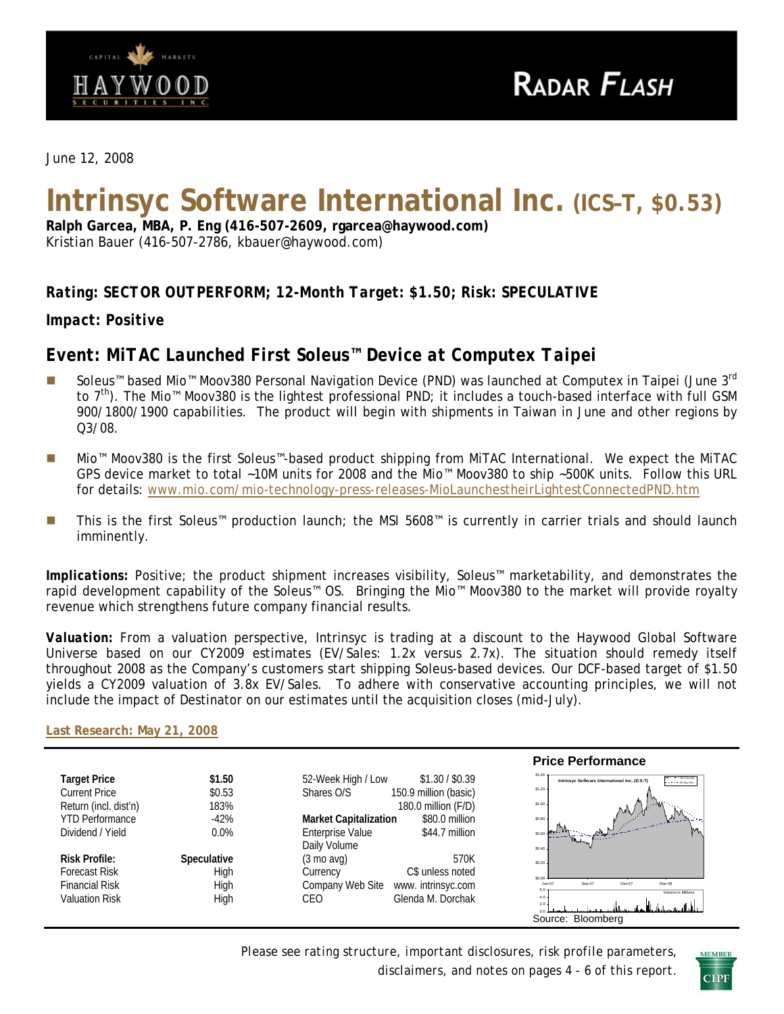

*June 12, 2008* 

# **Intrinsyc Software International Inc. (ICS–T, \$0.53)**

**Ralph Garcea, MBA, P. Eng (416-507-2609, rgarcea@haywood.com)**  Kristian Bauer (416-507-2786, kbauer@haywood.com)

# *Rating: SECTOR OUTPERFORM; 12-Month Target: \$1.50; Risk: SPECULATIVE*

*Impact: Positive* 

# *Event: MiTAC Launched First Soleus™ Device at Computex Taipei*

- Soleus™ based Mio™ Moov380 Personal Navigation Device (PND) was launched at Computex in Taipei (June 3<sup>rd</sup> to 7<sup>th</sup>). The Mio™ Moov380 is the lightest professional PND; it includes a touch-based interface with full GSM 900/1800/1900 capabilities. The product will begin with shipments in Taiwan in June and other regions by Q3/08.
- Mio™ Moov380 is the first Soleus™-based product shipping from MiTAC International. We expect the MiTAC GPS device market to total ~10M units for 2008 and the Mio™ Moov380 to ship ~500K units. Follow this URL for details: [www.mio.com/mio-technology-press-releases-MioLaunchestheirLightestConnectedPND.htm](http://www.mio.com/mio-technology-press-releases-MioLaunchestheirLightestConnectedPND.htm)
- This is the first Soleus™ production launch; the MSI 5608™ is currently in carrier trials and should launch imminently.

*Implications:* Positive; the product shipment increases visibility, Soleus™ marketability, and demonstrates the rapid development capability of the Soleus™ OS. Bringing the Mio™ Moov380 to the market will provide royalty revenue which strengthens future company financial results.

*Valuation:* From a valuation perspective, Intrinsyc is trading at a discount to the Haywood Global Software Universe based on our CY2009 estimates (EV/Sales: 1.2x versus 2.7x). The situation should remedy itself throughout 2008 as the Company's customers start shipping Soleus-based devices. Our DCF-based target of \$1.50 yields a CY2009 valuation of 3.8x EV/Sales. To adhere with conservative accounting principles, we will not include the impact of Destinator on our estimates until the acquisition closes (mid-July).

**[Last Research: May 21, 2008](http://www.haywood.com/pdffiles/ICSMay212008.pdf)**

|                        |                    |                                                | <b>Price Performance</b>                                                                                              |
|------------------------|--------------------|------------------------------------------------|-----------------------------------------------------------------------------------------------------------------------|
| <b>Target Price</b>    | \$1.50             | \$1.30 / \$0.39<br>52-Week High / Low          | $$1,40$ -<br>$- - - 200 \text{ Cay } M$<br>Intrins vc Software International Inc. (ICS-T)<br>$1 - 1 - 1 = 50$ Only MA |
| <b>Current Price</b>   | \$0.53             | 150.9 million (basic)<br>Shares O/S            | \$1.20                                                                                                                |
| Return (incl. dist'n)  | 183%               | 180.0 million (F/D)                            | \$1.00<br>M                                                                                                           |
| <b>YTD Performance</b> | $-42%$             | <b>Market Capitalization</b><br>\$80.0 million | ۱.A<br>\$0.80                                                                                                         |
| Dividend / Yield       | $0.0\%$            | <b>Enterprise Value</b><br>$$44.7$ million     |                                                                                                                       |
|                        |                    | Daily Volume                                   | \$0.40                                                                                                                |
| <b>Risk Profile:</b>   | <b>Speculative</b> | 570K<br>$(3 \text{ mo }$ avg $)$               | \$0.20.                                                                                                               |
| Forecast Risk          | High               | C\$ unless noted<br>Currency                   | \$0.00                                                                                                                |
| <b>Financial Risk</b>  | High               | Company Web Site<br>www. intrinsyc.com         | Mar-08<br>Sep-07<br>Dec-07<br>$Jun-07$<br>6.0.                                                                        |
| <b>Valuation Risk</b>  | High               | Glenda M. Dorchak<br>CEO                       | Volume in Millions<br>$4.0 -$<br>$2.0 -$                                                                              |
|                        |                    |                                                |                                                                                                                       |
|                        |                    |                                                | Bloomberg<br>Source:                                                                                                  |

*Please see rating structure, important disclosures, risk profile parameters, disclaimers, and notes on pages 4 - 6 of this report*.

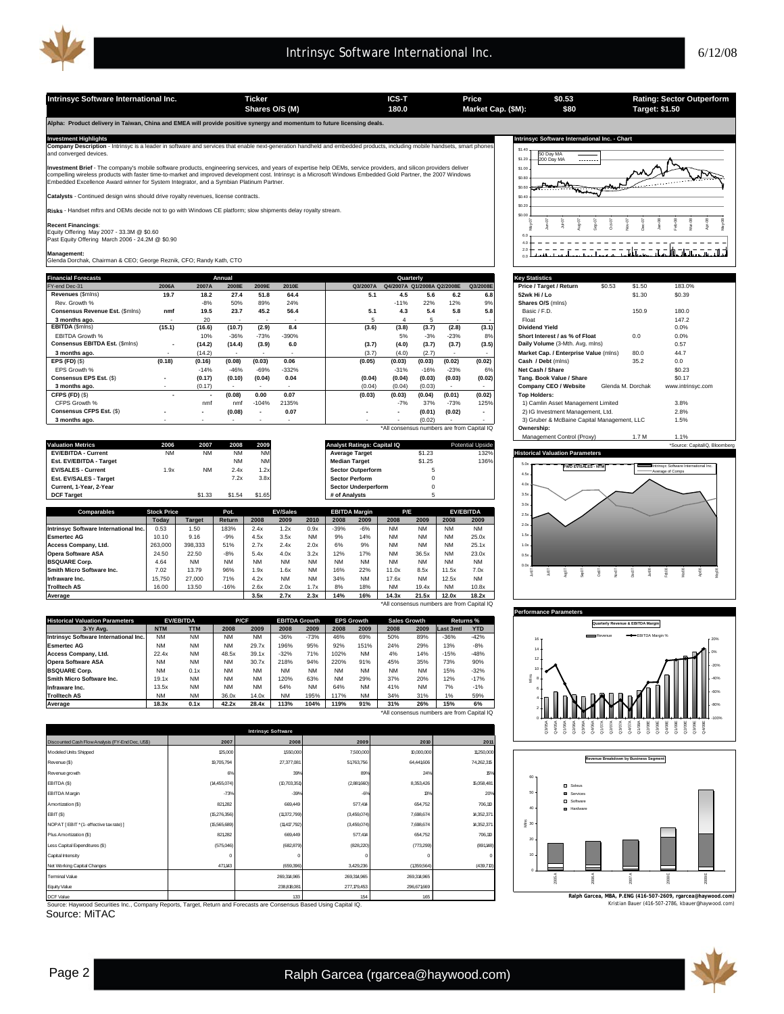

**Shares O/S (M) Market Cap. (\$M): 180.0 Target: \$1.50**

**Alpha: Product delivery in Taiwan, China and EMEA will provide positive synergy and momentum to future licensing deals.** 

Investment Highlights<br>Company Description - Intrinsyc is a leader in software and services that enable next-generation handheld and embedded products, including mobile handsets, smart phones [that may software Internationa and converged devices.

**Investment Brief** - The company's mobile software products, engineering services, and years of expertise help OEMs, service providers, and silicon providers deliver<br>compelling wireless products with faster time-to-market

atalysts - Continued design wins should drive royalty revenues, license contracts

**Risks** - Handset mftrs and OEMs decide not to go with Windows CE platform; slow shipments delay royalty stream.

**Recent Financings:**<br>Equity Offering May 2007 - 33.3M @ \$0.60<br>Past Equity Offering March 2006 - 24.2M @ \$0.90

**Management:** Glenda Dorchak, Chairman & CEO; George Reznik, CFO; Randy Kath, CTO

| <b>Financial Forecasts</b>      |                          |                          | Annual |                          |         |          | Quarterly                                  |        |                          |                          | <b>Key Statistics</b>                       |        |                   |                   |
|---------------------------------|--------------------------|--------------------------|--------|--------------------------|---------|----------|--------------------------------------------|--------|--------------------------|--------------------------|---------------------------------------------|--------|-------------------|-------------------|
| FY-end Dec-31                   | 2006A                    | 2007A                    | 2008E  | 2009E                    | 2010E   | Q3/2007A | Q4/2007A Q1/2008A Q2/2008E                 |        |                          | Q3/2008E                 | Price / Target / Return                     | \$0.53 | \$1.50            | 183.0%            |
| Revenues (\$mins)               | 19.7                     | 18.2                     | 27.4   | 51.8                     | 64.4    | 5.1      | 4.5                                        | 5.6    | 6.2                      | 6.8                      | 52wk Hi / Lo                                |        | \$1.30            | \$0.39            |
| Rev. Growth %                   |                          | $-8%$                    | 50%    | 89%                      | 24%     |          | $-11%$                                     | 22%    | 12%                      | 9%                       | Shares O/S (mins)                           |        |                   |                   |
| Consensus Revenue Est. (\$mins) | nmf                      | 19.5                     | 23.7   | 45.2                     | 56.4    | 5.1      | 4.3                                        | 5.4    | 5.8                      | 5.8                      | Basic / F.D.                                |        | 150.9             | 180.0             |
| 3 months ago.                   |                          | 20                       |        |                          |         |          | 4                                          |        | $\overline{\phantom{a}}$ |                          | Float                                       |        |                   | 147.2             |
| EBITDA (\$mins)                 | (15.1)                   | (16.6)                   | (10.7) | (2.9)                    | 8.4     | (3.6)    | (3.8)                                      | (3.7)  | (2.8)                    | (3.1)                    | <b>Dividend Yield</b>                       |        |                   | 0.0%              |
| <b>EBITDA Growth %</b>          |                          | 10%                      | $-36%$ | $-73%$                   | $-390%$ |          | 5%                                         | $-3%$  | $-23%$                   | 8%                       | Short Interest / as % of Float              |        | 0.0               | 0.0%              |
| Consensus EBITDA Est. (\$mins)  | $\overline{\phantom{a}}$ | (14.2)                   | (14.4) | (3.9)                    | 6.0     | (3.7)    | (4.0)                                      | (3.7)  | (3.7)                    | (3.5)                    | Daily Volume (3-Mth. Avg. mlns)             |        |                   | 0.57              |
| 3 months ago.                   |                          | (14.2)                   |        | $\overline{\phantom{a}}$ |         | (3.7)    | (4.0)                                      | (2.7)  | $\overline{\phantom{a}}$ | $\sim$                   | Market Cap. / Enterprise Value (mlns)       |        | 80.0              | 44.7              |
| EPS $(FD)(\$)$                  | (0.18)                   | (0.16)                   | (0.08) | (0.03)                   | 0.06    | (0.05)   | (0.03)                                     | (0.03) | (0.02)                   | (0.02)                   | Cash / Debt (mins)                          |        | 35.2              | 0.0               |
| EPS Growth %                    |                          | $-14%$                   | $-46%$ | $-69%$                   | $-332%$ |          | $-31%$                                     | $-16%$ | $-23%$                   | 6%                       | Net Cash / Share                            |        |                   | \$0.23            |
| Consensus EPS Est. (\$)         | $\overline{\phantom{a}}$ | (0.17)                   | (0.10) | (0.04)                   | 0.04    | (0.04)   | (0.04)                                     | (0.03) | (0.03)                   | (0.02)                   | Tang, Book Value / Share                    |        |                   | \$0.17            |
| 3 months ago.                   |                          | (0.17)                   |        |                          |         | (0.04)   | (0.04)                                     | (0.03) |                          | $\sim$                   | Company CEO / Website                       |        | Glenda M. Dorchak | www.intrinsyc.com |
| CFPS (FD) (\$)                  | ۰                        | $\overline{\phantom{a}}$ | (0.08) | 0.00                     | 0.07    | (0.03)   | (0.03)                                     | (0.04) | (0.01)                   | (0.02)                   | <b>Top Holders:</b>                         |        |                   |                   |
| CFPS Growth %                   |                          | nmf                      | nmf    | $-104%$                  | 2135%   |          | $-7%$                                      | 37%    | $-73%$                   | 125%                     | 1) Camlin Asset Management Limited          |        |                   | 3.8%              |
| Consensus CFPS Est. (\$)        | $\overline{\phantom{a}}$ | $\overline{\phantom{a}}$ | (0.08) | $\overline{\phantom{a}}$ | 0.07    |          |                                            | (0.01) | (0.02)                   | $\overline{\phantom{a}}$ | 2) IG Investment Management, Ltd.           |        |                   | 2.8%              |
| 3 months ago.                   |                          |                          |        |                          |         |          |                                            | (0.02) |                          |                          | 3) Gruber & McBaine Capital Management, LLC |        |                   | 1.5%              |
|                                 |                          |                          |        |                          |         |          | *All consensus numbers are from Canital IO |        |                          |                          | Ownershin <sup>-</sup>                      |        |                   |                   |

|                            |           |           |           |           |                                    |        |                         | <b>MARGHER CONTROL FIGAVI</b><br>$1.1$ IVI<br>. 70 |
|----------------------------|-----------|-----------|-----------|-----------|------------------------------------|--------|-------------------------|----------------------------------------------------|
| <b>Valuation Metrics</b>   | 2006      | 2007      | 2008      | 2009      | <b>Analyst Ratings: Capital IQ</b> |        | <b>Potential Upside</b> | *Source: CapitalIQ, Bloomberg                      |
| <b>EV/EBITDA - Current</b> | <b>NM</b> | NM        | <b>NM</b> | <b>NM</b> | <b>Average Target</b>              | \$1.23 | 132%                    | <b>Historical Valuation Parameters</b>             |
| Est. EV/EBITDA - Target    |           |           | <b>NM</b> | <b>NM</b> | <b>Median Target</b>               | \$1.25 | 136%                    | insyc Software International Inc. In               |
| <b>EV/SALES - Current</b>  | l.9x      | <b>NM</b> | 2.4x      | 1.2x      | <b>Sector Outperform</b>           |        |                         | <b>FWD EV/SALES - NTM</b><br>-Average of Comps     |
| Est. EV/SALES - Target     |           |           | 7.2x      | 3.8x      | <b>Sector Perform</b>              |        |                         |                                                    |
| Current, 1-Year, 2-Year    |           |           |           |           | <b>Sector Underperform</b>         |        |                         |                                                    |
| <b>DCF Target</b>          |           |           | \$1.54    | \$1.65    | # of Analysts                      |        |                         |                                                    |

| <b>Comparables</b>                    | <b>Stock Price</b> |               | Pot.          |           | <b>EV/Sales</b> |           |           | <b>EBITDA Margin</b> | P/E       |           |           | <b>EV/EBITDA</b>                           |
|---------------------------------------|--------------------|---------------|---------------|-----------|-----------------|-----------|-----------|----------------------|-----------|-----------|-----------|--------------------------------------------|
|                                       | Todav              | <b>Target</b> | <b>Return</b> | 2008      | 2009            | 2010      | 2008      | 2009                 | 2008      | 2009      | 2008      | 2009                                       |
| Intrinsyc Software International Inc. | 0.53               | 1.50          | 183%          | 2.4x      | 1.2x            | 0.9x      | $-39%$    | $-6%$                | <b>NM</b> | <b>NM</b> | <b>NM</b> | <b>NM</b>                                  |
| <b>Esmertec AG</b>                    | 10.10              | 9.16          | $-9%$         | 4.5x      | 3.5x            | <b>NM</b> | 9%        | 14%                  | <b>NM</b> | <b>NM</b> | <b>NM</b> | 25.0x                                      |
| Access Company, Ltd.                  | 263,000            | 398.333       | 51%           | 2.7x      | 2.4x            | 2.0x      | 6%        | 9%                   | <b>NM</b> | <b>NM</b> | <b>NM</b> | 25.1x                                      |
| <b>Opera Software ASA</b>             | 24.50              | 22.50         | $-8%$         | 5.4x      | 4.0x            | 3.2x      | 12%       | 17%                  | <b>NM</b> | 36.5x     | <b>NM</b> | 23.0x                                      |
| <b>IBSQUARE Corp.</b>                 | 4.64               | <b>NM</b>     | <b>NM</b>     | <b>NM</b> | <b>NM</b>       | <b>NM</b> | <b>NM</b> | <b>NM</b>            | <b>NM</b> | <b>NM</b> | <b>NM</b> | <b>NM</b>                                  |
| <b>Smith Micro Software Inc.</b>      | 7.02               | 13.79         | 96%           | 1.9x      | 1.6x            | <b>NM</b> | 16%       | 22%                  | 11.0x     | 8.5x      | 11.5x     | 7.0x                                       |
| Infraware Inc.                        | 15.750             | 27,000        | 71%           | 4.2x      | <b>NM</b>       | <b>NM</b> | 34%       | <b>NM</b>            | 17.6x     | <b>NM</b> | 12.5x     | <b>NM</b>                                  |
| <b>Trolltech AS</b>                   | 16.00              | 13.50         | $-16%$        | 2.6x      | 2.0x            | 1.7x      | 8%        | 18%                  | <b>NM</b> | 19.4x     | <b>NM</b> | 10.8x                                      |
| Average                               |                    |               |               | 3.5x      | 2.7x            | 2.3x      | 14%       | 16%                  | 14.3x     | 21.5x     | 12.0x     | 18.2x                                      |
|                                       |                    |               |               |           |                 |           |           |                      |           |           |           | *All consensus numbers are from Capital IO |

| <b>Historical Valuation Parameters</b> |            | <b>EV/EBITDA</b> | <b>P/CF</b> |           | <b>EBITDA Growth</b> |           |           | <b>EPS Growth</b> | <b>Sales Growth</b> |           | Returns %                                  |            |
|----------------------------------------|------------|------------------|-------------|-----------|----------------------|-----------|-----------|-------------------|---------------------|-----------|--------------------------------------------|------------|
| 3-Yr Ava.                              | <b>NTM</b> | <b>TTM</b>       | 2008        | 2009      | 2008                 | 2009      | 2008      | 2009              | 2008                | 2009      | Last 3mtl                                  | <b>YTD</b> |
| Intrinsyc Software International Inc.  | <b>NM</b>  | <b>NM</b>        | <b>NM</b>   | <b>NM</b> | $-36%$               | $-73%$    | 46%       | 69%               | 50%                 | 89%       | $-36%$                                     | $-42%$     |
| <b>Esmertec AG</b>                     | <b>NM</b>  | <b>NM</b>        | <b>NM</b>   | 29.7x     | 196%                 | 95%       | 92%       | 151%              | 24%                 | 29%       | 13%                                        | $-8%$      |
| Access Company, Ltd.                   | 22.4x      | <b>NM</b>        | 48.5x       | 39.1x     | $-32%$               | 71%       | 102%      | <b>NM</b>         | 4%                  | 14%       | $-15%$                                     | $-48%$     |
| <b>Opera Software ASA</b>              | <b>NM</b>  | <b>NM</b>        | <b>NM</b>   | 30.7x     | 218%                 | 94%       | 220%      | 91%               | 45%                 | 35%       | 73%                                        | 90%        |
| <b>BSQUARE Corp.</b>                   | <b>NM</b>  | 0.1x             | <b>NM</b>   | <b>NM</b> | <b>NM</b>            | <b>NM</b> | <b>NM</b> | <b>NM</b>         | <b>NM</b>           | <b>NM</b> | 15%                                        | $-32%$     |
| Smith Micro Software Inc.              | 19.1x      | <b>NM</b>        | <b>NM</b>   | <b>NM</b> | 120%                 | 63%       | <b>NM</b> | 29%               | 37%                 | 20%       | 12%                                        | $-17%$     |
| Infraware Inc.                         | 13.5x      | <b>NM</b>        | <b>NM</b>   | <b>NM</b> | 64%                  | <b>NM</b> | 64%       | <b>NM</b>         | 41%                 | <b>NM</b> | 7%                                         | $-1%$      |
| <b>Trolltech AS</b>                    | <b>NM</b>  | <b>NM</b>        | 36.0x       | 14.0x     | <b>NM</b>            | 195%      | 117%      | <b>NM</b>         | 34%                 | 31%       | 1%                                         | 59%        |
| Average                                | 18.3x      | 0.1x             | 42.2x       | 28.4x     | 113%                 | 104%      | 119%      | 91%               | 31%                 | 26%       | 15%                                        | 6%         |
|                                        |            |                  |             |           |                      |           |           |                   |                     |           | *All consensus numbers are from Capital IQ |            |

|                                                  |                | <b>Intrinsyc Software</b> |                |                 |            |
|--------------------------------------------------|----------------|---------------------------|----------------|-----------------|------------|
| Discounted Cash Flow Analysis (FY-End Dec, US\$) | 2007           | 2008                      | 2009           | 2010            | 2011       |
| Modeled Units Shipped                            | 125,000        | 1550,000                  | 7,500,000      | 10,000,000      | 11250,000  |
| Revenue (\$)                                     | 19,705,794     | 27,377,081                | 51763,756      | 64,441,606      | 74,262,315 |
| Revenue growth                                   | 6%             | 39%                       | 89%            | 24%             | 15%        |
| EBITDA (\$)                                      | (14,455,074)   | (10,703,351)              | (2,881660)     | 8,353,426       | 15,058,481 |
| <b>EBITDA</b> Margin                             | $-73%$         | $-39%$                    | $-6%$          | 13%             | 20%        |
| Amortization (\$)                                | 821282         | 669,449                   | 577,414        | 654,752         | 706,110    |
| EBIT (\$)                                        | (15, 276, 356) | (11,372,799)              | (3,459,074)    | 7,698,674       | 14,352,371 |
| NOPAT [EBIT * (1- effective tax rate) ]          | (15,565,689)   | (11417, 792)              | (3,459,074)    | 7,698,674       | 14,352,371 |
| Plus Amortization (\$)                           | 821282         | 669,449                   | 577,414        | 654,752         | 706,110    |
| Less Capital Expenditures (\$)                   | (575,046)      | (682, 879)                | (828, 220)     | (773.299)       | (891, 148) |
| Capital Intensity                                | 0              | $^{\circ}$                | C              |                 | $\Omega$   |
| Net Working Capital Changes                      | 471143         | (659,396)                 | 3,429,236      | (1359, 564)     | (439,710)  |
| <b>Terminal Value</b>                            |                | 269,314,965               | 269,314,965    | 269,314,965     |            |
| Equity Value                                     |                | 238,818,081               | 277, 179, 453  | 296,671,669     |            |
| DOESN-L-                                         |                | $\sim$                    | $\overline{1}$ | 10 <sup>2</sup> |            |

OCF Value of Company Reports, Target, Return and Forecasts are Consensus Based Using Capital IQ. [19] [19] tas | the Consensus Based Using Capital IQ. [19] tas | the Consensus Based Using Capital IQ. [19] the Consensus B

Source: MiTAC

| 50 Day MA | 200 Day MA |  |  |  |  |  |
|-----------|------------|--|--|--|--|--|
|           |            |  |  |  |  |  |
|           |            |  |  |  |  |  |
|           |            |  |  |  |  |  |
|           |            |  |  |  |  |  |

**\$0.53 \$80**

| <b>Key Statistics</b>                       |        |                   |                              |  |
|---------------------------------------------|--------|-------------------|------------------------------|--|
| Price / Target / Return                     | \$0.53 | \$1.50            | 183.0%                       |  |
| 52wk Hi / Lo                                |        | \$1.30            | \$0.39                       |  |
| Shares O/S (mins)                           |        |                   |                              |  |
| Basic / F.D.                                |        | 150.9             | 180.0                        |  |
| Float                                       |        |                   | 147.2                        |  |
| <b>Dividend Yield</b>                       |        |                   | 0.0%                         |  |
| Short Interest / as % of Float              |        | 0.0               | 0.0%                         |  |
| Daily Volume (3-Mth. Avg. mlns)             |        |                   | 0.57                         |  |
| Market Cap. / Enterprise Value (mlns)       |        | 80.0              | 44.7                         |  |
| Cash / Debt (mlns)                          |        | 35.2              | 0.0                          |  |
| Net Cash / Share                            |        |                   | \$0.23                       |  |
| Tang. Book Value / Share                    |        |                   | <b>\$0.17</b>                |  |
| Company CEO / Website                       |        | Glenda M. Dorchak | www.intrinsyc.com            |  |
| <b>Top Holders:</b>                         |        |                   |                              |  |
| 1) Camlin Asset Management Limited          |        |                   | 3.8%                         |  |
| 2) IG Investment Management, Ltd.           |        |                   | 2.8%                         |  |
| 3) Gruber & McBaine Capital Management, LLC |        |                   | 1.5%                         |  |
| Ownership:                                  |        |                   |                              |  |
| Management Control (Proxy)                  |        | 1.7 M             | 1.1%                         |  |
|                                             |        |                   | *Source: CanitalIO Bloomberg |  |









**Intrinsyc Software International Inc. Ticker ICS-T Price Rating: Sector Outperform**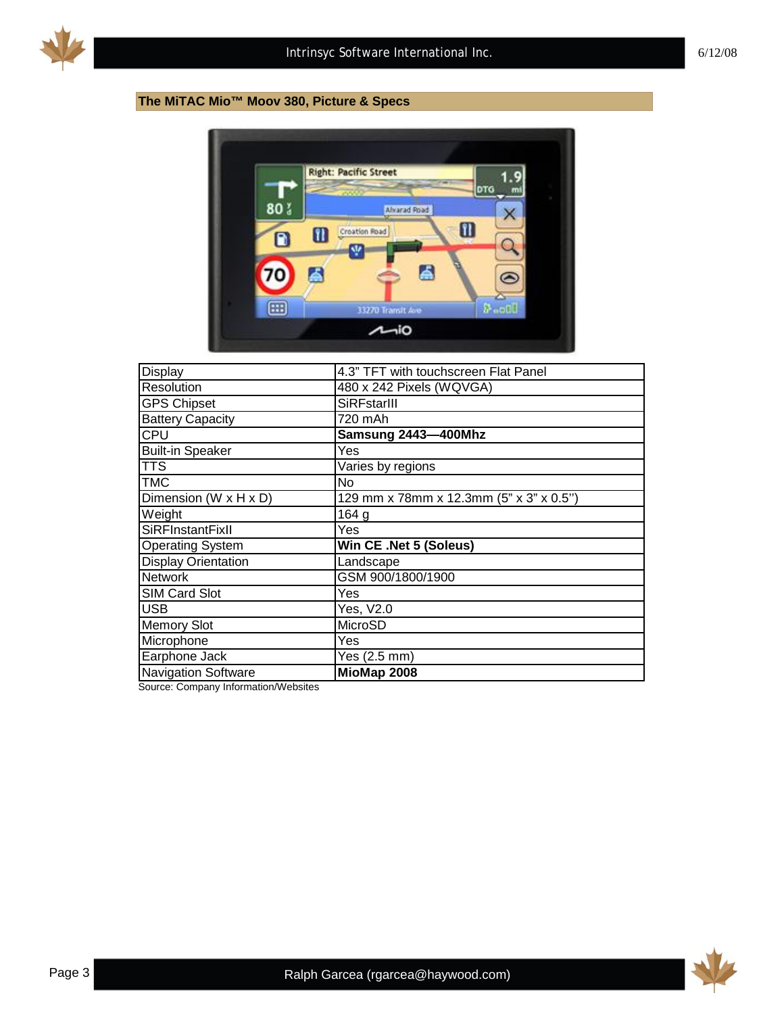

# **The MiTAC Mio™ Moov 380, Picture & Specs**



| Display                    | 4.3" TFT with touchscreen Flat Panel    |
|----------------------------|-----------------------------------------|
| Resolution                 | 480 x 242 Pixels (WQVGA)                |
| <b>GPS Chipset</b>         | SiRFstarIII                             |
| <b>Battery Capacity</b>    | 720 mAh                                 |
| CPU                        | Samsung 2443-400Mhz                     |
| <b>Built-in Speaker</b>    | Yes                                     |
| <b>TTS</b>                 | Varies by regions                       |
| <b>TMC</b>                 | No                                      |
| Dimension (W x H x D)      | 129 mm x 78mm x 12.3mm (5" x 3" x 0.5") |
| Weight                     | 164 g                                   |
| <b>SiRFInstantFixII</b>    | Yes                                     |
| <b>Operating System</b>    | Win CE .Net 5 (Soleus)                  |
| <b>Display Orientation</b> | Landscape                               |
| <b>Network</b>             | GSM 900/1800/1900                       |
| <b>SIM Card Slot</b>       | Yes                                     |
| <b>USB</b>                 | Yes, V2.0                               |
| <b>Memory Slot</b>         | MicroSD                                 |
| Microphone                 | Yes                                     |
| Earphone Jack              | Yes (2.5 mm)                            |
| <b>Navigation Software</b> | MioMap 2008                             |

Source: Company Information/Websites

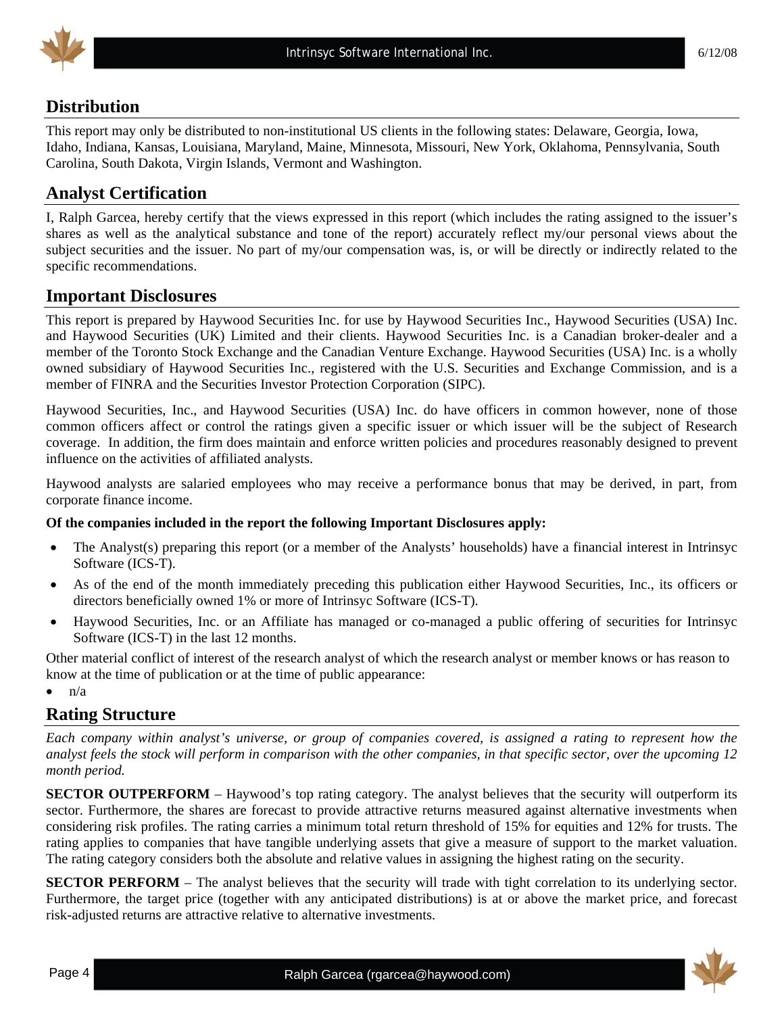

# **Distribution**

This report may only be distributed to non-institutional US clients in the following states: Delaware, Georgia, Iowa, Idaho, Indiana, Kansas, Louisiana, Maryland, Maine, Minnesota, Missouri, New York, Oklahoma, Pennsylvania, South Carolina, South Dakota, Virgin Islands, Vermont and Washington.

# **Analyst Certification**

I, Ralph Garcea, hereby certify that the views expressed in this report (which includes the rating assigned to the issuer's shares as well as the analytical substance and tone of the report) accurately reflect my/our personal views about the subject securities and the issuer. No part of my/our compensation was, is, or will be directly or indirectly related to the specific recommendations.

# **Important Disclosures**

This report is prepared by Haywood Securities Inc. for use by Haywood Securities Inc., Haywood Securities (USA) Inc. and Haywood Securities (UK) Limited and their clients. Haywood Securities Inc. is a Canadian broker-dealer and a member of the Toronto Stock Exchange and the Canadian Venture Exchange. Haywood Securities (USA) Inc. is a wholly owned subsidiary of Haywood Securities Inc., registered with the U.S. Securities and Exchange Commission, and is a member of FINRA and the Securities Investor Protection Corporation (SIPC).

Haywood Securities, Inc., and Haywood Securities (USA) Inc. do have officers in common however, none of those common officers affect or control the ratings given a specific issuer or which issuer will be the subject of Research coverage. In addition, the firm does maintain and enforce written policies and procedures reasonably designed to prevent influence on the activities of affiliated analysts.

Haywood analysts are salaried employees who may receive a performance bonus that may be derived, in part, from corporate finance income.

#### **Of the companies included in the report the following Important Disclosures apply:**

- The Analyst(s) preparing this report (or a member of the Analysts' households) have a financial interest in Intrinsyc Software (ICS-T).
- As of the end of the month immediately preceding this publication either Haywood Securities, Inc., its officers or directors beneficially owned 1% or more of Intrinsyc Software (ICS-T).
- Haywood Securities, Inc. or an Affiliate has managed or co-managed a public offering of securities for Intrinsyc Software (ICS-T) in the last 12 months.

Other material conflict of interest of the research analyst of which the research analyst or member knows or has reason to know at the time of publication or at the time of public appearance:

 $\bullet$   $\frac{n}{a}$ 

# **Rating Structure**

*Each company within analyst's universe, or group of companies covered, is assigned a rating to represent how the analyst feels the stock will perform in comparison with the other companies, in that specific sector, over the upcoming 12 month period.* 

**SECTOR OUTPERFORM** – Haywood's top rating category. The analyst believes that the security will outperform its sector. Furthermore, the shares are forecast to provide attractive returns measured against alternative investments when considering risk profiles. The rating carries a minimum total return threshold of 15% for equities and 12% for trusts. The rating applies to companies that have tangible underlying assets that give a measure of support to the market valuation. The rating category considers both the absolute and relative values in assigning the highest rating on the security.

**SECTOR PERFORM** – The analyst believes that the security will trade with tight correlation to its underlying sector. Furthermore, the target price (together with any anticipated distributions) is at or above the market price, and forecast risk-adjusted returns are attractive relative to alternative investments.

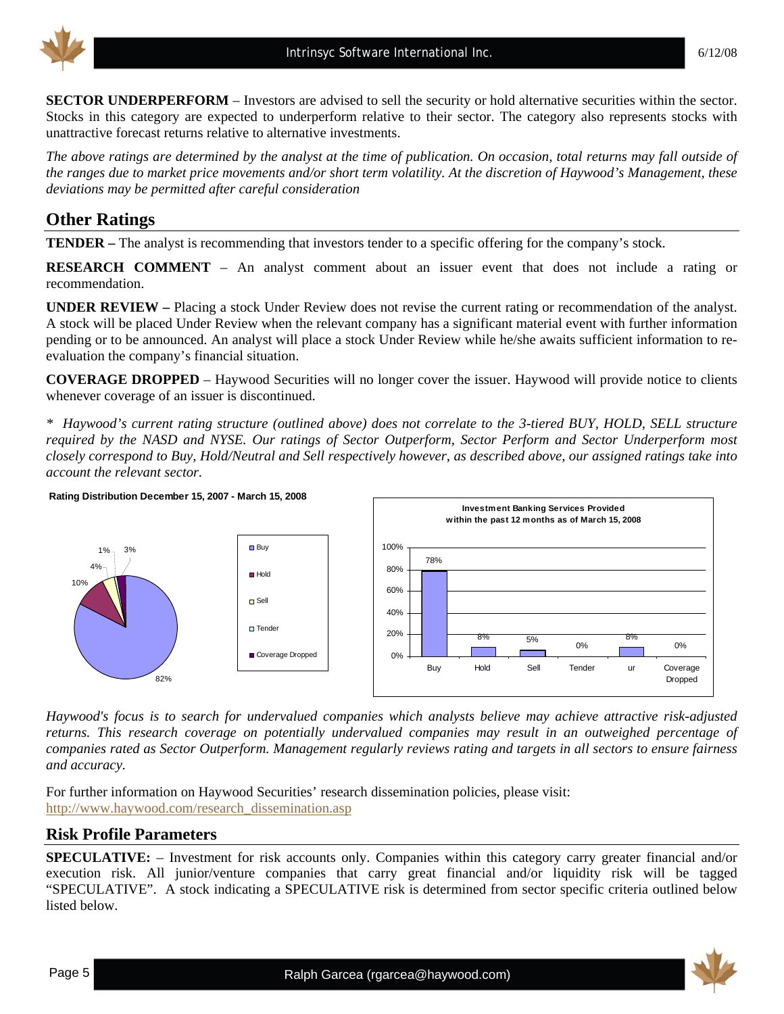

**SECTOR UNDERPERFORM** – Investors are advised to sell the security or hold alternative securities within the sector. Stocks in this category are expected to underperform relative to their sector. The category also represents stocks with unattractive forecast returns relative to alternative investments.

*The above ratings are determined by the analyst at the time of publication. On occasion, total returns may fall outside of the ranges due to market price movements and/or short term volatility. At the discretion of Haywood's Management, these deviations may be permitted after careful consideration* 

# **Other Ratings**

**TENDER –** The analyst is recommending that investors tender to a specific offering for the company's stock.

**RESEARCH COMMENT** – An analyst comment about an issuer event that does not include a rating or recommendation.

**UNDER REVIEW –** Placing a stock Under Review does not revise the current rating or recommendation of the analyst. A stock will be placed Under Review when the relevant company has a significant material event with further information pending or to be announced. An analyst will place a stock Under Review while he/she awaits sufficient information to reevaluation the company's financial situation.

**COVERAGE DROPPED** – Haywood Securities will no longer cover the issuer. Haywood will provide notice to clients whenever coverage of an issuer is discontinued.

*\* Haywood's current rating structure (outlined above) does not correlate to the 3-tiered BUY, HOLD, SELL structure required by the NASD and NYSE. Our ratings of Sector Outperform, Sector Perform and Sector Underperform most closely correspond to Buy, Hold/Neutral and Sell respectively however, as described above, our assigned ratings take into account the relevant sector.* 



*Haywood's focus is to search for undervalued companies which analysts believe may achieve attractive risk-adjusted returns. This research coverage on potentially undervalued companies may result in an outweighed percentage of companies rated as Sector Outperform. Management regularly reviews rating and targets in all sectors to ensure fairness and accuracy.* 

For further information on Haywood Securities' research dissemination policies, please visit: [http://www.haywood.com/research\\_dissemination.asp](http://www.haywood.com/research_dissemination.asp) 

## **Risk Profile Parameters**

**SPECULATIVE:** – Investment for risk accounts only. Companies within this category carry greater financial and/or execution risk. All junior/venture companies that carry great financial and/or liquidity risk will be tagged "SPECULATIVE". A stock indicating a SPECULATIVE risk is determined from sector specific criteria outlined below listed below.